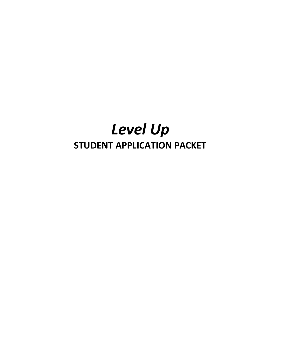# **Level Up STUDENT APPLICATION PACKET**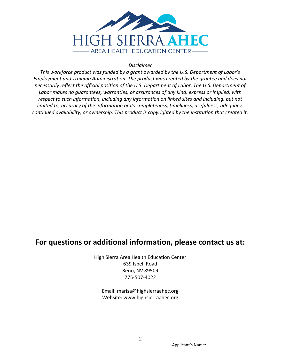

# **Disclaimer**

This workforce product was funded by a grant awarded by the U.S. Department of Labor's Employment and Training Administration. The product was created by the grantee and does not necessarily reflect the official position of the U.S. Department of Labor. The U.S. Department of Labor makes no guarantees, warranties, or assurances of any kind, express or implied, with respect to such information, including any information on linked sites and including, but not limited to, accuracy of the information or its completeness, timeliness, usefulness, adequacy, continued availability, or ownership. This product is copyrighted by the institution that created it.

# For questions or additional information, please contact us at:

High Sierra Area Health Education Center 639 Isbell Road Reno, NV 89509 775-507-4022

Email: marisa@highsierraahec.org Website: www.highsierraahec.org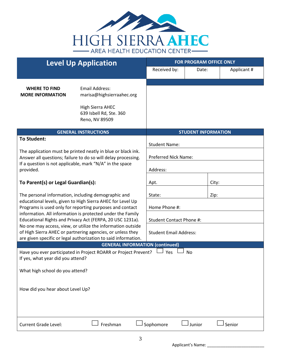

| <b>Level Up Application</b>                                                                                                                                                               |                                                                                                                         | <b>FOR PROGRAM OFFICE ONLY</b> |          |            |  |
|-------------------------------------------------------------------------------------------------------------------------------------------------------------------------------------------|-------------------------------------------------------------------------------------------------------------------------|--------------------------------|----------|------------|--|
|                                                                                                                                                                                           |                                                                                                                         | Received by:                   | Date:    | Applicant# |  |
|                                                                                                                                                                                           |                                                                                                                         |                                |          |            |  |
| <b>WHERE TO FIND</b><br><b>MORE INFORMATION</b>                                                                                                                                           | <b>Email Address:</b><br>marisa@highsierraahec.org                                                                      |                                |          |            |  |
|                                                                                                                                                                                           | <b>High Sierra AHEC</b><br>639 Isbell Rd, Ste. 360<br>Reno, NV 89509                                                    |                                |          |            |  |
|                                                                                                                                                                                           | <b>GENERAL INSTRUCTIONS</b>                                                                                             | <b>STUDENT INFORMATION</b>     |          |            |  |
| <b>To Student:</b>                                                                                                                                                                        | <b>Student Name:</b>                                                                                                    |                                |          |            |  |
| The application must be printed neatly in blue or black ink.<br>Answer all questions; failure to do so will delay processing.<br>If a question is not applicable, mark "N/A" in the space |                                                                                                                         | Preferred Nick Name:           |          |            |  |
| provided.                                                                                                                                                                                 | Address:                                                                                                                |                                |          |            |  |
| To Parent(s) or Legal Guardian(s):                                                                                                                                                        |                                                                                                                         | Apt.                           |          | City:      |  |
| The personal information, including demographic and<br>educational levels, given to High Sierra AHEC for Level Up<br>Programs is used only for reporting purposes and contact             |                                                                                                                         | State:<br>Zip:                 |          |            |  |
|                                                                                                                                                                                           |                                                                                                                         | Home Phone #:                  |          |            |  |
|                                                                                                                                                                                           | information. All information is protected under the Family<br>Educational Rights and Privacy Act (FERPA, 20 USC 1231a). | Student Contact Phone #:       |          |            |  |
| No one may access, view, or utilize the information outside<br>of High Sierra AHEC or partnering agencies, or unless they                                                                 | <b>Student Email Address:</b>                                                                                           |                                |          |            |  |
|                                                                                                                                                                                           | are given specific or legal authorization to said information.                                                          |                                |          |            |  |
| <b>GENERAL INFORMATION (continued)</b><br>Have you ever participated in Project ROARR or Project Prevent?<br>Yes<br>No<br>If yes, what year did you attend?                               |                                                                                                                         |                                |          |            |  |
| What high school do you attend?                                                                                                                                                           |                                                                                                                         |                                |          |            |  |
| How did you hear about Level Up?                                                                                                                                                          |                                                                                                                         |                                |          |            |  |
| <b>Current Grade Level:</b>                                                                                                                                                               | Freshman                                                                                                                | Sophomore                      | J Junior | Senior     |  |

Applicant's Name: \_\_\_\_\_\_\_\_\_\_\_\_\_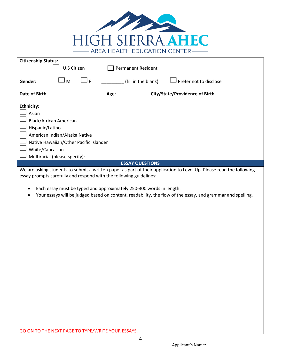

| <b>Citizenship Status:</b>                                                                                                                                                                 |                               |     |                                |                           |                        |  |
|--------------------------------------------------------------------------------------------------------------------------------------------------------------------------------------------|-------------------------------|-----|--------------------------------|---------------------------|------------------------|--|
|                                                                                                                                                                                            | U.S Citizen                   |     |                                | <b>Permanent Resident</b> |                        |  |
|                                                                                                                                                                                            |                               |     |                                |                           |                        |  |
| Gender:                                                                                                                                                                                    | M                             | J F |                                | (fill in the blank)       | Prefer not to disclose |  |
| Date of Birth                                                                                                                                                                              |                               |     | City/State/Providence of Birth |                           |                        |  |
|                                                                                                                                                                                            |                               |     |                                |                           |                        |  |
| <b>Ethnicity:</b>                                                                                                                                                                          |                               |     |                                |                           |                        |  |
| Asian                                                                                                                                                                                      |                               |     |                                |                           |                        |  |
|                                                                                                                                                                                            | Black/African American        |     |                                |                           |                        |  |
| Hispanic/Latino                                                                                                                                                                            |                               |     |                                |                           |                        |  |
| American Indian/Alaska Native                                                                                                                                                              |                               |     |                                |                           |                        |  |
| Native Hawaiian/Other Pacific Islander                                                                                                                                                     |                               |     |                                |                           |                        |  |
| White/Caucasian                                                                                                                                                                            |                               |     |                                |                           |                        |  |
|                                                                                                                                                                                            | Multiracial (please specify): |     |                                |                           |                        |  |
| <b>ESSAY QUESTIONS</b>                                                                                                                                                                     |                               |     |                                |                           |                        |  |
| We are asking students to submit a written paper as part of their application to Level Up. Please read the following<br>essay prompts carefully and respond with the following guidelines: |                               |     |                                |                           |                        |  |
| Each essay must be typed and approximately 250-300 words in length.                                                                                                                        |                               |     |                                |                           |                        |  |

Your essays will be judged based on content, readability, the flow of the essay, and grammar and spelling.

GO ON TO THE NEXT PAGE TO TYPE/WRITE YOUR ESSAYS.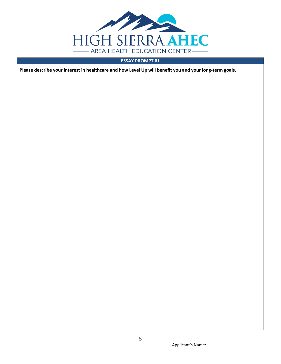

# **ESSAY PROMPT #1**

Please describe your interest in healthcare and how Level Up will benefit you and your long-term goals.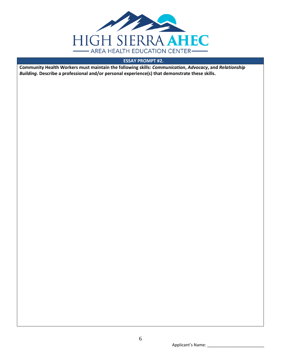

# **ESSAY PROMPT #2.**

Community Health Workers must maintain the following skills: Communication, Advocacy, and Relationship Building. Describe a professional and/or personal experience(s) that demonstrate these skills.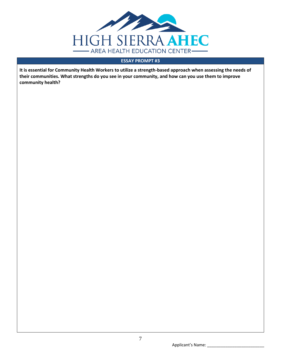

# **ESSAY PROMPT #3**

It is essential for Community Health Workers to utilize a strength-based approach when assessing the needs of their communities. What strengths do you see in your community, and how can you use them to improve community health?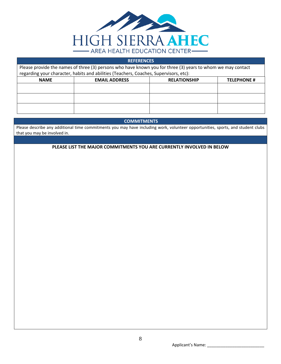

| <b>REFERENCES</b>                                                                                           |                      |                     |                    |  |  |  |  |
|-------------------------------------------------------------------------------------------------------------|----------------------|---------------------|--------------------|--|--|--|--|
| Please provide the names of three (3) persons who have known you for three (3) years to whom we may contact |                      |                     |                    |  |  |  |  |
| regarding your character, habits and abilities (Teachers, Coaches, Supervisors, etc):                       |                      |                     |                    |  |  |  |  |
| <b>NAME</b>                                                                                                 | <b>EMAIL ADDRESS</b> | <b>RELATIONSHIP</b> | <b>TELEPHONE #</b> |  |  |  |  |
|                                                                                                             |                      |                     |                    |  |  |  |  |
|                                                                                                             |                      |                     |                    |  |  |  |  |
|                                                                                                             |                      |                     |                    |  |  |  |  |
|                                                                                                             |                      |                     |                    |  |  |  |  |
|                                                                                                             |                      |                     |                    |  |  |  |  |

# **COMMITMENTS**

Please describe any additional time commitments you may have including work, volunteer opportunities, sports, and student clubs that you may be involved in.

PLEASE LIST THE MAJOR COMMITMENTS YOU ARE CURRENTLY INVOLVED IN BELOW

Applicant's Name: \_\_\_\_\_\_\_\_\_\_\_\_\_\_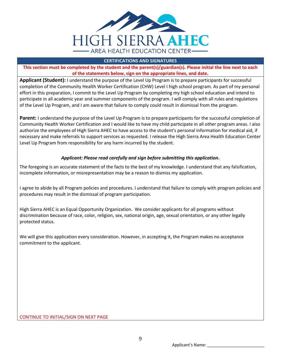

# **CERTIFICATIONS AND SIGNATURES**

**This section must be completed by the student and the parent(s)/guardian(s). Please initial the line next to each of the statements below, sign on the appropriate lines, and date.**

**Applicant (Student):** I understand the purpose of the Level Up Program is to prepare participants for successful completion of the Community Health Worker Certification (CHW) Level I high school program. As part of my personal effort in this preparation, I commit to the Level Up Program by completing my high school education and intend to participate in all academic year and summer components of the program. I will comply with all rules and regulations of the Level Up Program, and I am aware that failure to comply could result in dismissal from the program.

**Parent:** I understand the purpose of the Level Up Program is to prepare participants for the successful completion of Community Health Worker Certification and I would like to have my child participate in all other program areas. I also authorize the employees of High Sierra AHEC to have access to the student's personal information for medical aid, if necessary and make referrals to support services as requested. I release the High Sierra Area Health Education Center Level Up Program from responsibility for any harm incurred by the student.

# *Applicant: Please read carefully and sign before submitting this application***.**

The foregoing is an accurate statement of the facts to the best of my knowledge. I understand that any falsification, incomplete information, or misrepresentation may be a reason to dismiss my application.

I agree to abide by all Program policies and procedures. I understand that failure to comply with program policies and procedures may result in the dismissal of program participation.

High Sierra AHEC is an Equal Opportunity Organization. We consider applicants for all programs without discrimination because of race, color, religion, sex, national origin, age, sexual orientation, or any other legally protected status.

We will give this application every consideration. However, in accepting it, the Program makes no acceptance commitment to the applicant.